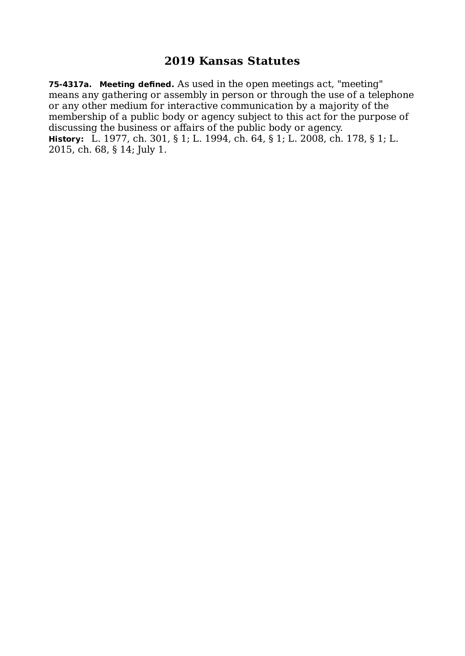**75-4317a. Meeting defined.** As used in the open meetings act, "meeting" means any gathering or assembly in person or through the use of a telephone or any other medium for interactive communication by a majority of the membership of a public body or agency subject to this act for the purpose of discussing the business or affairs of the public body or agency. **History:** L. 1977, ch. 301, § 1; L. 1994, ch. 64, § 1; L. 2008, ch. 178, § 1; L. 2015, ch. 68, § 14; July 1.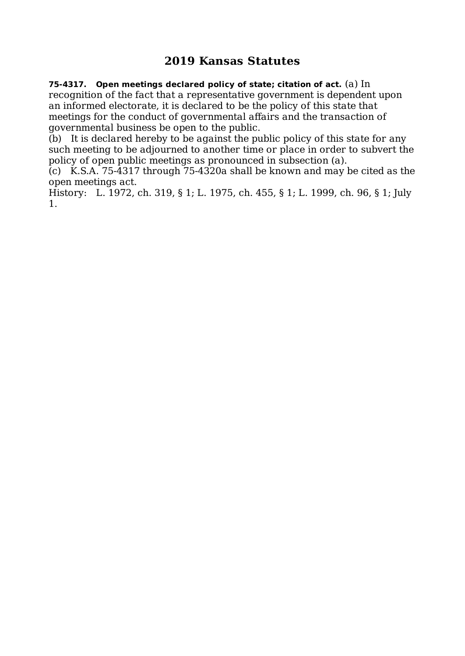**75-4317. Open meetings declared policy of state; citation of act.** (a) In recognition of the fact that a representative government is dependent upon an informed electorate, it is declared to be the policy of this state that meetings for the conduct of governmental affairs and the transaction of governmental business be open to the public.

(b) It is declared hereby to be against the public policy of this state for any such meeting to be adjourned to another time or place in order to subvert the policy of open public meetings as pronounced in subsection (a).

(c) K.S.A. 75-4317 through 75-4320a shall be known and may be cited as the open meetings act.

History: L. 1972, ch. 319, § 1; L. 1975, ch. 455, § 1; L. 1999, ch. 96, § 1; July 1.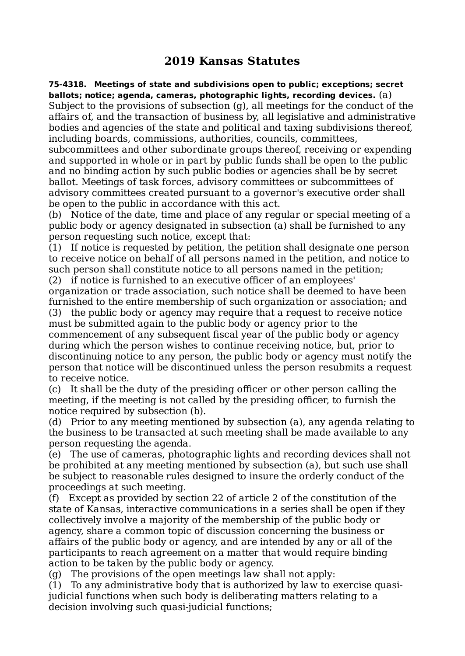**75-4318. Meetings of state and subdivisions open to public; exceptions; secret ballots; notice; agenda, cameras, photographic lights, recording devices.** (a) Subject to the provisions of subsection (g), all meetings for the conduct of the affairs of, and the transaction of business by, all legislative and administrative bodies and agencies of the state and political and taxing subdivisions thereof, including boards, commissions, authorities, councils, committees,

subcommittees and other subordinate groups thereof, receiving or expending and supported in whole or in part by public funds shall be open to the public and no binding action by such public bodies or agencies shall be by secret ballot. Meetings of task forces, advisory committees or subcommittees of advisory committees created pursuant to a governor's executive order shall be open to the public in accordance with this act.

(b) Notice of the date, time and place of any regular or special meeting of a public body or agency designated in subsection (a) shall be furnished to any person requesting such notice, except that:

(1) If notice is requested by petition, the petition shall designate one person to receive notice on behalf of all persons named in the petition, and notice to such person shall constitute notice to all persons named in the petition;

(2) if notice is furnished to an executive officer of an employees' organization or trade association, such notice shall be deemed to have been furnished to the entire membership of such organization or association; and

(3) the public body or agency may require that a request to receive notice must be submitted again to the public body or agency prior to the commencement of any subsequent fiscal year of the public body or agency

during which the person wishes to continue receiving notice, but, prior to discontinuing notice to any person, the public body or agency must notify the person that notice will be discontinued unless the person resubmits a request to receive notice.

(c) It shall be the duty of the presiding officer or other person calling the meeting, if the meeting is not called by the presiding officer, to furnish the notice required by subsection (b).

(d) Prior to any meeting mentioned by subsection (a), any agenda relating to the business to be transacted at such meeting shall be made available to any person requesting the agenda.

(e) The use of cameras, photographic lights and recording devices shall not be prohibited at any meeting mentioned by subsection (a), but such use shall be subject to reasonable rules designed to insure the orderly conduct of the proceedings at such meeting.

(f) Except as provided by section 22 of article 2 of the constitution of the state of Kansas, interactive communications in a series shall be open if they collectively involve a majority of the membership of the public body or agency, share a common topic of discussion concerning the business or affairs of the public body or agency, and are intended by any or all of the participants to reach agreement on a matter that would require binding action to be taken by the public body or agency.

(g) The provisions of the open meetings law shall not apply:

(1) To any administrative body that is authorized by law to exercise quasijudicial functions when such body is deliberating matters relating to a decision involving such quasi-judicial functions;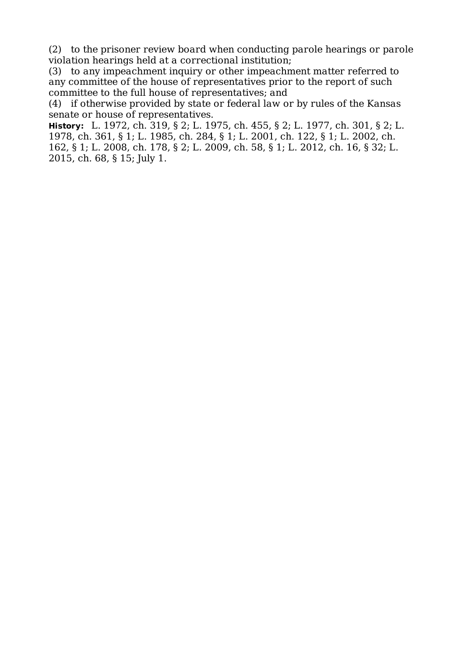(2) to the prisoner review board when conducting parole hearings or parole violation hearings held at a correctional institution;

(3) to any impeachment inquiry or other impeachment matter referred to any committee of the house of representatives prior to the report of such committee to the full house of representatives; and

(4) if otherwise provided by state or federal law or by rules of the Kansas senate or house of representatives.

**History:** L. 1972, ch. 319, § 2; L. 1975, ch. 455, § 2; L. 1977, ch. 301, § 2; L. 1978, ch. 361, § 1; L. 1985, ch. 284, § 1; L. 2001, ch. 122, § 1; L. 2002, ch. 162, § 1; L. 2008, ch. 178, § 2; L. 2009, ch. 58, § 1; L. 2012, ch. 16, § 32; L. 2015, ch. 68, § 15; July 1.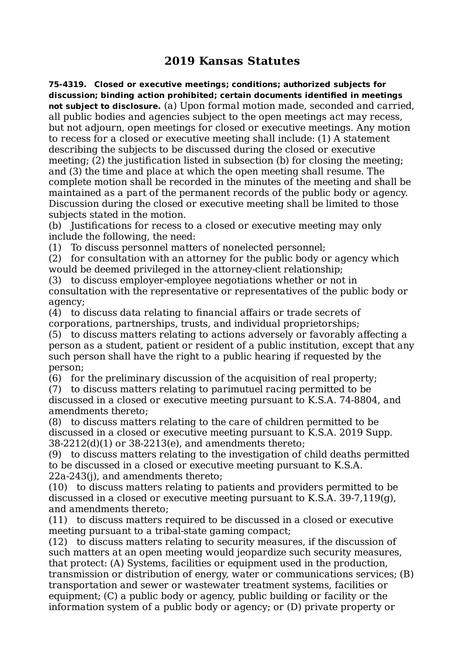**75-4319. Closed or executive meetings; conditions; authorized subjects for discussion; binding action prohibited; certain documents identified in meetings not subject to disclosure.** (a) Upon formal motion made, seconded and carried, all public bodies and agencies subject to the open meetings act may recess, but not adjourn, open meetings for closed or executive meetings. Any motion to recess for a closed or executive meeting shall include: (1) A statement describing the subjects to be discussed during the closed or executive meeting; (2) the justification listed in subsection (b) for closing the meeting; and (3) the time and place at which the open meeting shall resume. The complete motion shall be recorded in the minutes of the meeting and shall be maintained as a part of the permanent records of the public body or agency. Discussion during the closed or executive meeting shall be limited to those subjects stated in the motion.

(b) Justifications for recess to a closed or executive meeting may only include the following, the need:

(1) To discuss personnel matters of nonelected personnel;

(2) for consultation with an attorney for the public body or agency which would be deemed privileged in the attorney-client relationship;

(3) to discuss employer-employee negotiations whether or not in consultation with the representative or representatives of the public body or agency;

(4) to discuss data relating to financial affairs or trade secrets of corporations, partnerships, trusts, and individual proprietorships;

(5) to discuss matters relating to actions adversely or favorably affecting a person as a student, patient or resident of a public institution, except that any such person shall have the right to a public hearing if requested by the person;

(6) for the preliminary discussion of the acquisition of real property;

(7) to discuss matters relating to parimutuel racing permitted to be discussed in a closed or executive meeting pursuant to K.S.A. 74-8804, and amendments thereto;

(8) to discuss matters relating to the care of children permitted to be discussed in a closed or executive meeting pursuant to K.S.A. 2019 Supp. 38-2212(d)(1) or 38-2213(e), and amendments thereto;

(9) to discuss matters relating to the investigation of child deaths permitted to be discussed in a closed or executive meeting pursuant to K.S.A. 22a-243(j), and amendments thereto;

(10) to discuss matters relating to patients and providers permitted to be discussed in a closed or executive meeting pursuant to K.S.A. 39-7,119(g), and amendments thereto;

(11) to discuss matters required to be discussed in a closed or executive meeting pursuant to a tribal-state gaming compact;

(12) to discuss matters relating to security measures, if the discussion of such matters at an open meeting would jeopardize such security measures, that protect: (A) Systems, facilities or equipment used in the production, transmission or distribution of energy, water or communications services; (B) transportation and sewer or wastewater treatment systems, facilities or equipment; (C) a public body or agency, public building or facility or the information system of a public body or agency; or (D) private property or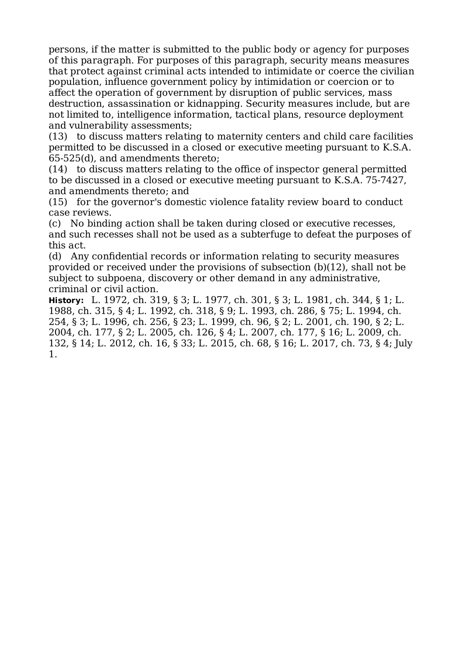persons, if the matter is submitted to the public body or agency for purposes of this paragraph. For purposes of this paragraph, security means measures that protect against criminal acts intended to intimidate or coerce the civilian population, influence government policy by intimidation or coercion or to affect the operation of government by disruption of public services, mass destruction, assassination or kidnapping. Security measures include, but are not limited to, intelligence information, tactical plans, resource deployment and vulnerability assessments;

(13) to discuss matters relating to maternity centers and child care facilities permitted to be discussed in a closed or executive meeting pursuant to K.S.A. 65-525(d), and amendments thereto;

(14) to discuss matters relating to the office of inspector general permitted to be discussed in a closed or executive meeting pursuant to K.S.A. 75-7427, and amendments thereto; and

(15) for the governor's domestic violence fatality review board to conduct case reviews.

(c) No binding action shall be taken during closed or executive recesses, and such recesses shall not be used as a subterfuge to defeat the purposes of this act.

(d) Any confidential records or information relating to security measures provided or received under the provisions of subsection (b)(12), shall not be subject to subpoena, discovery or other demand in any administrative, criminal or civil action.

**History:** L. 1972, ch. 319, § 3; L. 1977, ch. 301, § 3; L. 1981, ch. 344, § 1; L. 1988, ch. 315, § 4; L. 1992, ch. 318, § 9; L. 1993, ch. 286, § 75; L. 1994, ch. 254, § 3; L. 1996, ch. 256, § 23; L. 1999, ch. 96, § 2; L. 2001, ch. 190, § 2; L. 2004, ch. 177, § 2; L. 2005, ch. 126, § 4; L. 2007, ch. 177, § 16; L. 2009, ch. 132, § 14; L. 2012, ch. 16, § 33; L. 2015, ch. 68, § 16; L. 2017, ch. 73, § 4; July 1.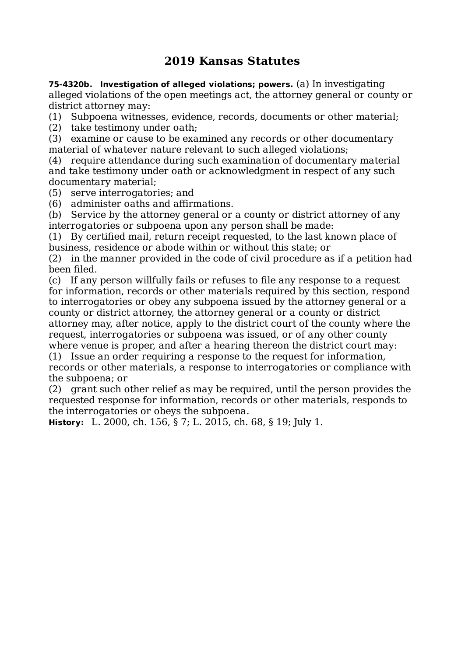**75-4320b. Investigation of alleged violations; powers.** (a) In investigating alleged violations of the open meetings act, the attorney general or county or district attorney may:

(1) Subpoena witnesses, evidence, records, documents or other material;

(2) take testimony under oath;

(3) examine or cause to be examined any records or other documentary material of whatever nature relevant to such alleged violations;

(4) require attendance during such examination of documentary material and take testimony under oath or acknowledgment in respect of any such documentary material;

(5) serve interrogatories; and

(6) administer oaths and affirmations.

(b) Service by the attorney general or a county or district attorney of any interrogatories or subpoena upon any person shall be made:

(1) By certified mail, return receipt requested, to the last known place of business, residence or abode within or without this state; or

(2) in the manner provided in the code of civil procedure as if a petition had been filed.

(c) If any person willfully fails or refuses to file any response to a request for information, records or other materials required by this section, respond to interrogatories or obey any subpoena issued by the attorney general or a county or district attorney, the attorney general or a county or district attorney may, after notice, apply to the district court of the county where the request, interrogatories or subpoena was issued, or of any other county where venue is proper, and after a hearing thereon the district court may:

(1) Issue an order requiring a response to the request for information, records or other materials, a response to interrogatories or compliance with the subpoena; or

(2) grant such other relief as may be required, until the person provides the requested response for information, records or other materials, responds to the interrogatories or obeys the subpoena.

**History:** L. 2000, ch. 156, § 7; L. 2015, ch. 68, § 19; July 1.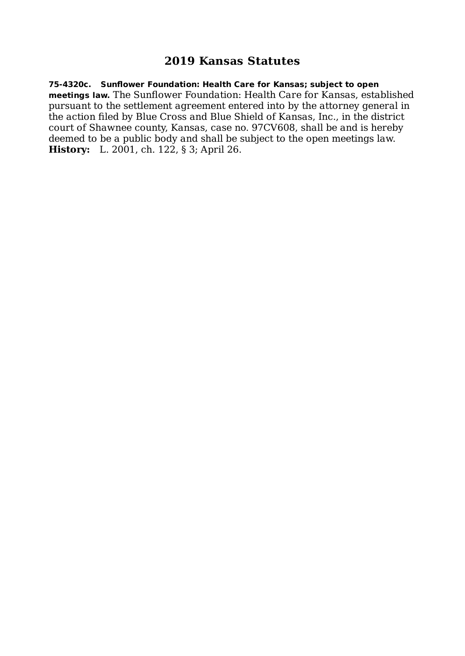**75-4320c. Sunflower Foundation: Health Care for Kansas; subject to open meetings law.** The Sunflower Foundation: Health Care for Kansas, established pursuant to the settlement agreement entered into by the attorney general in the action filed by Blue Cross and Blue Shield of Kansas, Inc., in the district court of Shawnee county, Kansas, case no. 97CV608, shall be and is hereby deemed to be a public body and shall be subject to the open meetings law. **History:** L. 2001, ch. 122, § 3; April 26.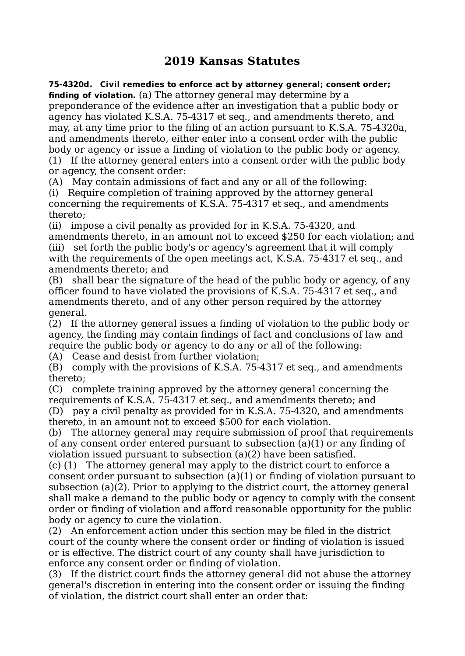**75-4320d. Civil remedies to enforce act by attorney general; consent order; finding of violation.** (a) The attorney general may determine by a preponderance of the evidence after an investigation that a public body or agency has violated K.S.A. 75-4317 et seq., and amendments thereto, and may, at any time prior to the filing of an action pursuant to K.S.A. 75-4320a, and amendments thereto, either enter into a consent order with the public body or agency or issue a finding of violation to the public body or agency. (1) If the attorney general enters into a consent order with the public body or agency, the consent order:

(A) May contain admissions of fact and any or all of the following:

(i) Require completion of training approved by the attorney general concerning the requirements of K.S.A. 75-4317 et seq., and amendments thereto;

(ii) impose a civil penalty as provided for in K.S.A. 75-4320, and amendments thereto, in an amount not to exceed \$250 for each violation; and (iii) set forth the public body's or agency's agreement that it will comply with the requirements of the open meetings act, K.S.A. 75-4317 et seq., and amendments thereto; and

(B) shall bear the signature of the head of the public body or agency, of any officer found to have violated the provisions of K.S.A. 75-4317 et seq., and amendments thereto, and of any other person required by the attorney general.

(2) If the attorney general issues a finding of violation to the public body or agency, the finding may contain findings of fact and conclusions of law and require the public body or agency to do any or all of the following:

(A) Cease and desist from further violation;

(B) comply with the provisions of K.S.A. 75-4317 et seq., and amendments thereto;

(C) complete training approved by the attorney general concerning the requirements of K.S.A. 75-4317 et seq., and amendments thereto; and (D) pay a civil penalty as provided for in K.S.A. 75-4320, and amendments thereto, in an amount not to exceed \$500 for each violation.

(b) The attorney general may require submission of proof that requirements of any consent order entered pursuant to subsection (a)(1) or any finding of violation issued pursuant to subsection (a)(2) have been satisfied.

(c) (1) The attorney general may apply to the district court to enforce a consent order pursuant to subsection (a)(1) or finding of violation pursuant to subsection (a)(2). Prior to applying to the district court, the attorney general shall make a demand to the public body or agency to comply with the consent order or finding of violation and afford reasonable opportunity for the public body or agency to cure the violation.

(2) An enforcement action under this section may be filed in the district court of the county where the consent order or finding of violation is issued or is effective. The district court of any county shall have jurisdiction to enforce any consent order or finding of violation.

(3) If the district court finds the attorney general did not abuse the attorney general's discretion in entering into the consent order or issuing the finding of violation, the district court shall enter an order that: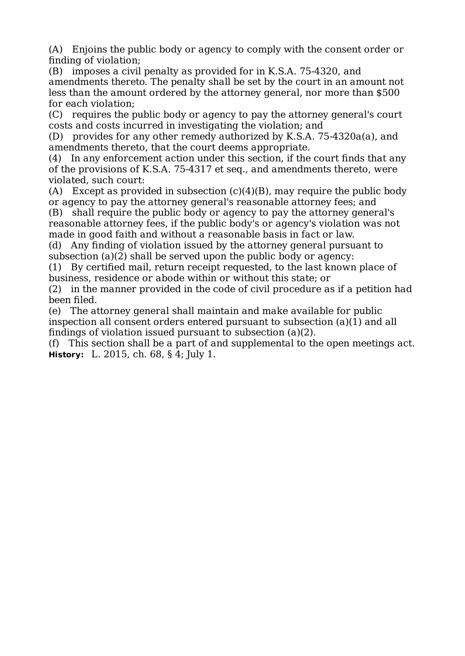(A) Enjoins the public body or agency to comply with the consent order or finding of violation;

(B) imposes a civil penalty as provided for in K.S.A. 75-4320, and amendments thereto. The penalty shall be set by the court in an amount not less than the amount ordered by the attorney general, nor more than \$500 for each violation;

(C) requires the public body or agency to pay the attorney general's court costs and costs incurred in investigating the violation; and

(D) provides for any other remedy authorized by K.S.A. 75-4320a(a), and amendments thereto, that the court deems appropriate.

(4) In any enforcement action under this section, if the court finds that any of the provisions of K.S.A. 75-4317 et seq., and amendments thereto, were violated, such court:

(A) Except as provided in subsection  $(c)(4)(B)$ , may require the public body or agency to pay the attorney general's reasonable attorney fees; and

(B) shall require the public body or agency to pay the attorney general's reasonable attorney fees, if the public body's or agency's violation was not made in good faith and without a reasonable basis in fact or law.

(d) Any finding of violation issued by the attorney general pursuant to subsection (a)(2) shall be served upon the public body or agency:

(1) By certified mail, return receipt requested, to the last known place of business, residence or abode within or without this state; or

(2) in the manner provided in the code of civil procedure as if a petition had been filed.

(e) The attorney general shall maintain and make available for public inspection all consent orders entered pursuant to subsection (a)(1) and all findings of violation issued pursuant to subsection (a)(2).

(f) This section shall be a part of and supplemental to the open meetings act. **History:** L. 2015, ch. 68, § 4; July 1.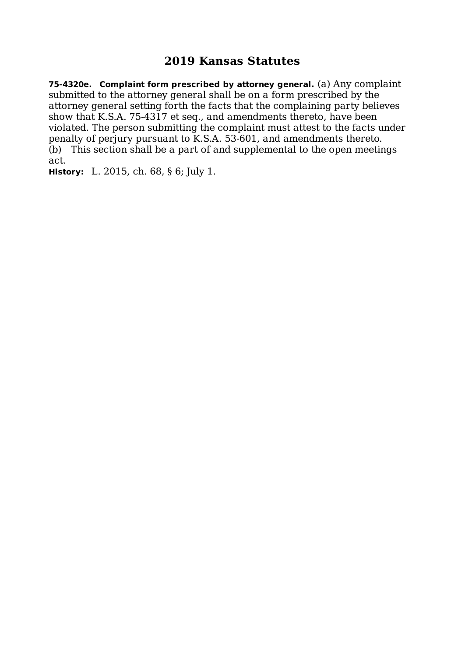**75-4320e. Complaint form prescribed by attorney general.** (a) Any complaint submitted to the attorney general shall be on a form prescribed by the attorney general setting forth the facts that the complaining party believes show that K.S.A. 75-4317 et seq., and amendments thereto, have been violated. The person submitting the complaint must attest to the facts under penalty of perjury pursuant to K.S.A. 53-601, and amendments thereto. (b) This section shall be a part of and supplemental to the open meetings act.

**History:** L. 2015, ch. 68, § 6; July 1.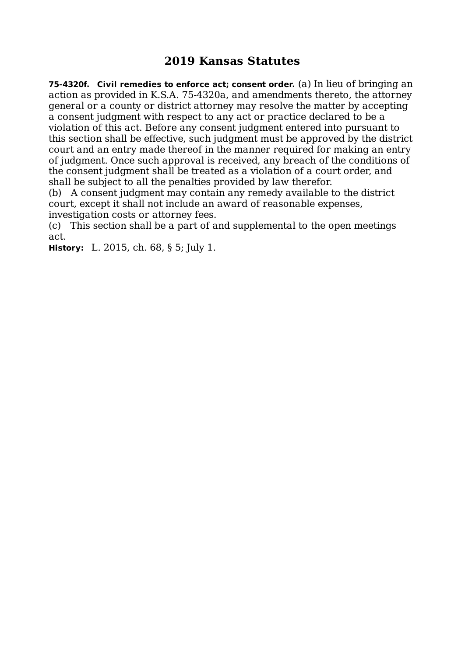**75-4320f. Civil remedies to enforce act; consent order.** (a) In lieu of bringing an action as provided in K.S.A. 75-4320a, and amendments thereto, the attorney general or a county or district attorney may resolve the matter by accepting a consent judgment with respect to any act or practice declared to be a violation of this act. Before any consent judgment entered into pursuant to this section shall be effective, such judgment must be approved by the district court and an entry made thereof in the manner required for making an entry of judgment. Once such approval is received, any breach of the conditions of the consent judgment shall be treated as a violation of a court order, and shall be subject to all the penalties provided by law therefor.

(b) A consent judgment may contain any remedy available to the district court, except it shall not include an award of reasonable expenses, investigation costs or attorney fees.

(c) This section shall be a part of and supplemental to the open meetings act.

**History:** L. 2015, ch. 68, § 5; July 1.